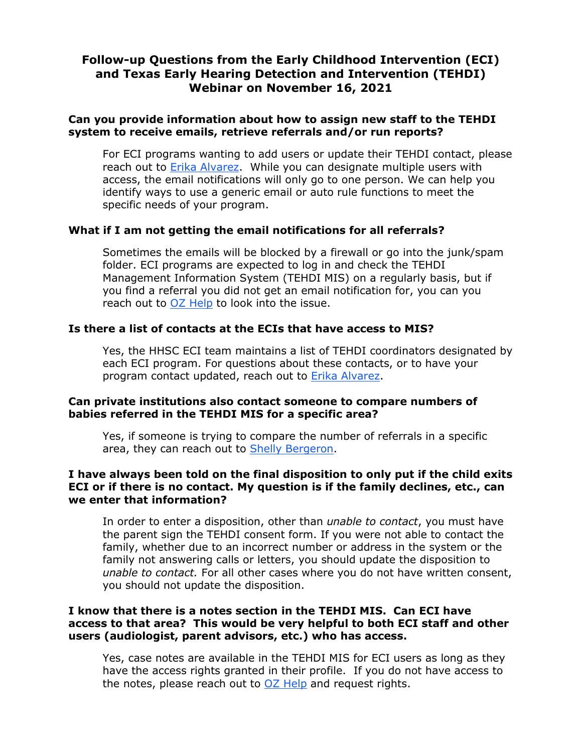#### **Can you provide information about how to assign new staff to the TEHDI system to receive emails, retrieve referrals and/or run reports?**

For ECI programs wanting to add users or update their TEHDI contact, please reach out to **Erika Alvarez**. While you can designate multiple users with access, the email notifications will only go to one person. We can help you identify ways to use a generic email or auto rule functions to meet the specific needs of your program.

## **What if I am not getting the email notifications for all referrals?**

Sometimes the emails will be blocked by a firewall or go into the junk/spam folder. ECI programs are expected to log in and check the TEHDI Management Information System (TEHDI MIS) on a regularly basis, but if you find a referral you did not get an email notification for, you can you reach out to [OZ Help](mailto:ozhelp@ozsystems.com) to look into the issue.

## **Is there a list of contacts at the ECIs that have access to MIS?**

Yes, the HHSC ECI team maintains a list of TEHDI coordinators designated by each ECI program. For questions about these contacts, or to have your program contact updated, reach out to [Erika Alvarez.](mailto:erika.alvarez03@hhs.texas.gov)

#### **Can private institutions also contact someone to compare numbers of babies referred in the TEHDI MIS for a specific area?**

Yes, if someone is trying to compare the number of referrals in a specific area, they can reach out to [Shelly Bergeron.](mailto:shelly.bergeron@tsd.state.tx.us)

## **I have always been told on the final disposition to only put if the child exits ECI or if there is no contact. My question is if the family declines, etc., can we enter that information?**

In order to enter a disposition, other than *unable to contact*, you must have the parent sign the TEHDI consent form. If you were not able to contact the family, whether due to an incorrect number or address in the system or the family not answering calls or letters, you should update the disposition to *unable to contact.* For all other cases where you do not have written consent, you should not update the disposition.

#### **I know that there is a notes section in the TEHDI MIS. Can ECI have access to that area? This would be very helpful to both ECI staff and other users (audiologist, parent advisors, etc.) who has access.**

Yes, case notes are available in the TEHDI MIS for ECI users as long as they have the access rights granted in their profile. If you do not have access to the notes, please reach out to  $OZ$  Help and request rights.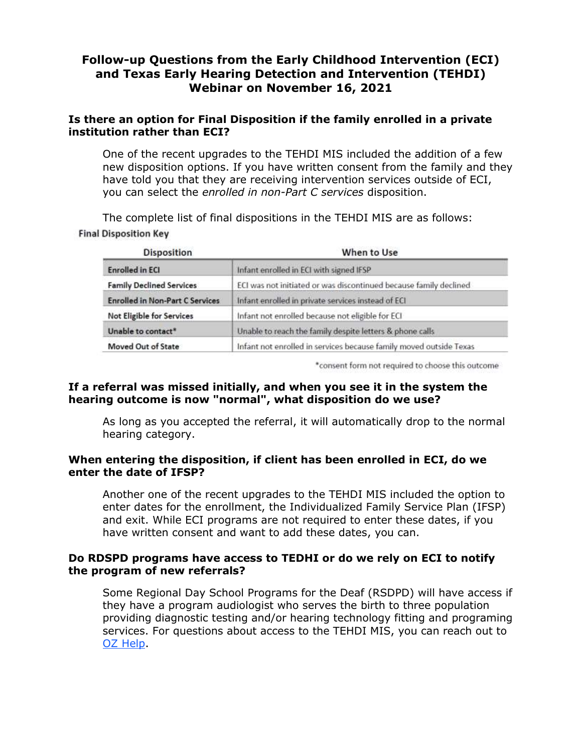## **Is there an option for Final Disposition if the family enrolled in a private institution rather than ECI?**

One of the recent upgrades to the TEHDI MIS included the addition of a few new disposition options. If you have written consent from the family and they have told you that they are receiving intervention services outside of ECI, you can select the *enrolled in non-Part C services* disposition.

The complete list of final dispositions in the TEHDI MIS are as follows: **Final Disposition Key** 

| <b>Disposition</b>                     | When to Use                                                        |
|----------------------------------------|--------------------------------------------------------------------|
| <b>Enrolled in ECI</b>                 | Infant enrolled in ECI with signed IFSP                            |
| <b>Family Declined Services</b>        | ECI was not initiated or was discontinued because family declined  |
| <b>Enrolled in Non-Part C Services</b> | Infant enrolled in private services instead of ECI                 |
| <b>Not Eligible for Services</b>       | Infant not enrolled because not eligible for ECI                   |
| Unable to contact*                     | Unable to reach the family despite letters & phone calls           |
| Moved Out of State                     | Infant not enrolled in services because family moved outside Texas |

\*consent form not required to choose this outcome

## **If a referral was missed initially, and when you see it in the system the hearing outcome is now "normal", what disposition do we use?**

As long as you accepted the referral, it will automatically drop to the normal hearing category.

#### **When entering the disposition, if client has been enrolled in ECI, do we enter the date of IFSP?**

Another one of the recent upgrades to the TEHDI MIS included the option to enter dates for the enrollment, the Individualized Family Service Plan (IFSP) and exit. While ECI programs are not required to enter these dates, if you have written consent and want to add these dates, you can.

#### **Do RDSPD programs have access to TEDHI or do we rely on ECI to notify the program of new referrals?**

Some Regional Day School Programs for the Deaf (RSDPD) will have access if they have a program audiologist who serves the birth to three population providing diagnostic testing and/or hearing technology fitting and programing services. For questions about access to the TEHDI MIS, you can reach out to [OZ Help.](mailto:ozhelp@ozsystems.com)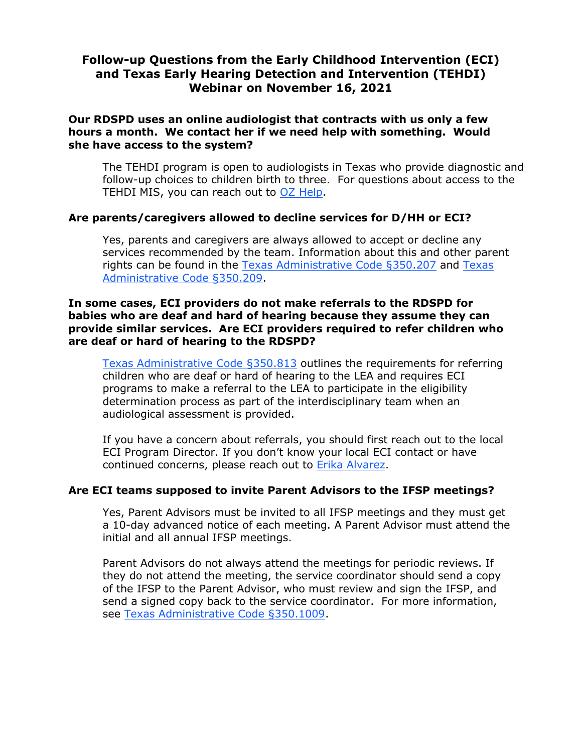### **Our RDSPD uses an online audiologist that contracts with us only a few hours a month. We contact her if we need help with something. Would she have access to the system?**

The TEHDI program is open to audiologists in Texas who provide diagnostic and follow-up choices to children birth to three. For questions about access to the TEHDI MIS, you can reach out to [OZ Help.](mailto:ozhelp@ozsystems.com)

## **Are parents/caregivers allowed to decline services for D/HH or ECI?**

Yes, parents and caregivers are always allowed to accept or decline any services recommended by the team. Information about this and other parent rights can be found in the [Texas Administrative Code §350.207](https://texreg.sos.state.tx.us/public/readtac$ext.TacPage?sl=R&app=9&p_dir=&p_rloc=&p_tloc=&p_ploc=&pg=1&p_tac=&ti=26&pt=1&ch=350&rl=207) and [Texas](https://texreg.sos.state.tx.us/public/readtac$ext.TacPage?sl=R&app=9&p_dir=&p_rloc=&p_tloc=&p_ploc=&pg=1&p_tac=&ti=26&pt=1&ch=350&rl=209)  [Administrative Code §350.209.](https://texreg.sos.state.tx.us/public/readtac$ext.TacPage?sl=R&app=9&p_dir=&p_rloc=&p_tloc=&p_ploc=&pg=1&p_tac=&ti=26&pt=1&ch=350&rl=209)

#### **In some cases, ECI providers do not make referrals to the RDSPD for babies who are deaf and hard of hearing because they assume they can provide similar services. Are ECI providers required to refer children who are deaf or hard of hearing to the RDSPD?**

[Texas Administrative Code §350.813](https://texreg.sos.state.tx.us/public/readtac$ext.TacPage?sl=R&app=9&p_dir=&p_rloc=&p_tloc=&p_ploc=&pg=1&p_tac=&ti=26&pt=1&ch=350&rl=813) outlines the requirements for referring children who are deaf or hard of hearing to the LEA and requires ECI programs to make a referral to the LEA to participate in the eligibility determination process as part of the interdisciplinary team when an audiological assessment is provided.

If you have a concern about referrals, you should first reach out to the local ECI Program Director. If you don't know your local ECI contact or have continued concerns, please reach out to [Erika Alvarez.](mailto:erika.alvarez03@hhs.texas.gov)

#### **Are ECI teams supposed to invite Parent Advisors to the IFSP meetings?**

Yes, Parent Advisors must be invited to all IFSP meetings and they must get a 10-day advanced notice of each meeting. A Parent Advisor must attend the initial and all annual IFSP meetings.

Parent Advisors do not always attend the meetings for periodic reviews. If they do not attend the meeting, the service coordinator should send a copy of the IFSP to the Parent Advisor, who must review and sign the IFSP, and send a signed copy back to the service coordinator. For more information, see [Texas Administrative Code §350.1009.](https://texreg.sos.state.tx.us/public/readtac$ext.TacPage?sl=R&app=9&p_dir=&p_rloc=&p_tloc=&p_ploc=&pg=1&p_tac=&ti=26&pt=1&ch=350&rl=1009)